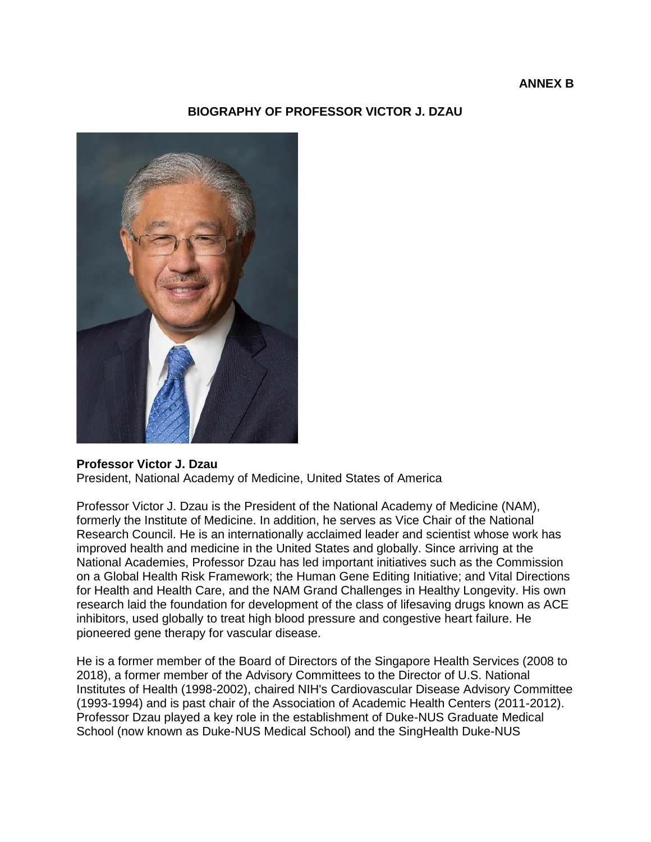### **ANNEX B**

## **BIOGRAPHY OF PROFESSOR VICTOR J. DZAU**



#### **Professor Victor J. Dzau**

President, National Academy of Medicine, United States of America

Professor Victor J. Dzau is the President of the National Academy of Medicine (NAM), formerly the Institute of Medicine. In addition, he serves as Vice Chair of the National Research Council. He is an internationally acclaimed leader and scientist whose work has improved health and medicine in the United States and globally. Since arriving at the National Academies, Professor Dzau has led important initiatives such as the Commission on a Global Health Risk Framework; the Human Gene Editing Initiative; and Vital Directions for Health and Health Care, and the NAM Grand Challenges in Healthy Longevity. His own research laid the foundation for development of the class of lifesaving drugs known as ACE inhibitors, used globally to treat high blood pressure and congestive heart failure. He pioneered gene therapy for vascular disease.

He is a former member of the Board of Directors of the Singapore Health Services (2008 to 2018), a former member of the Advisory Committees to the Director of U.S. National Institutes of Health (1998-2002), chaired NIH's Cardiovascular Disease Advisory Committee (1993-1994) and is past chair of the Association of Academic Health Centers (2011-2012). Professor Dzau played a key role in the establishment of Duke-NUS Graduate Medical School (now known as Duke-NUS Medical School) and the SingHealth Duke-NUS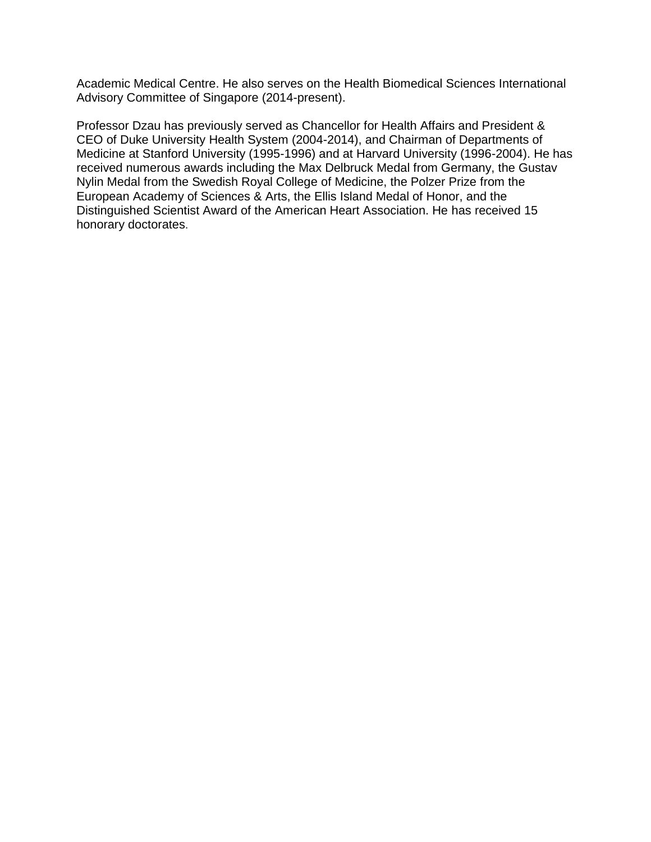Academic Medical Centre. He also serves on the Health Biomedical Sciences International Advisory Committee of Singapore (2014-present).

Professor Dzau has previously served as Chancellor for Health Affairs and President & CEO of Duke University Health System (2004-2014), and Chairman of Departments of Medicine at Stanford University (1995-1996) and at Harvard University (1996-2004). He has received numerous awards including the Max Delbruck Medal from Germany, the Gustav Nylin Medal from the Swedish Royal College of Medicine, the Polzer Prize from the European Academy of Sciences & Arts, the Ellis Island Medal of Honor, and the Distinguished Scientist Award of the American Heart Association. He has received 15 honorary doctorates.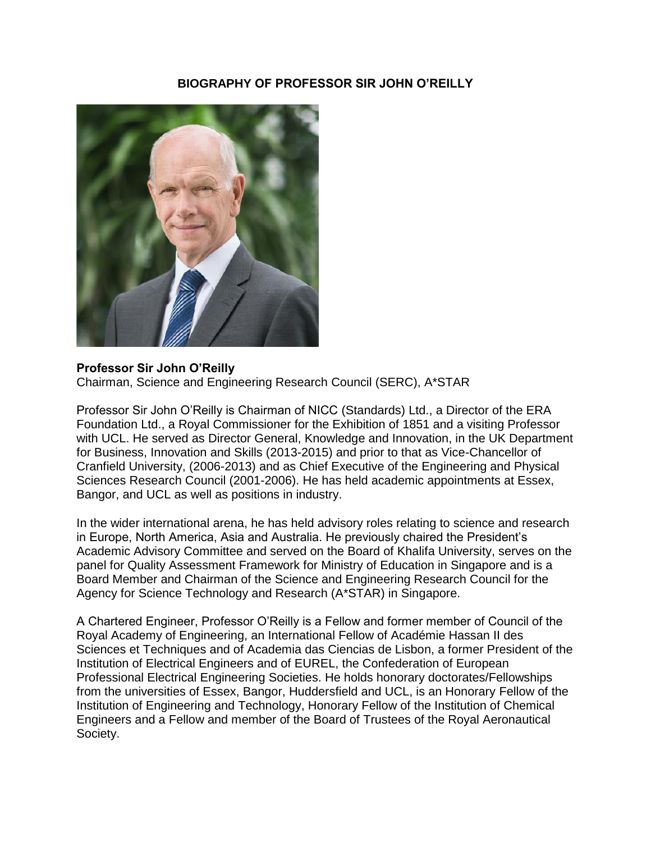# **BIOGRAPHY OF PROFESSOR SIR JOHN O'REILLY**



## **Professor Sir John O'Reilly**

Chairman, Science and Engineering Research Council (SERC), A\*STAR

Professor Sir John O'Reilly is Chairman of NICC (Standards) Ltd., a Director of the ERA Foundation Ltd., a Royal Commissioner for the Exhibition of 1851 and a visiting Professor with UCL. He served as Director General, Knowledge and Innovation, in the UK Department for Business, Innovation and Skills (2013-2015) and prior to that as Vice-Chancellor of Cranfield University, (2006-2013) and as Chief Executive of the Engineering and Physical Sciences Research Council (2001-2006). He has held academic appointments at Essex, Bangor, and UCL as well as positions in industry.

In the wider international arena, he has held advisory roles relating to science and research in Europe, North America, Asia and Australia. He previously chaired the President's Academic Advisory Committee and served on the Board of Khalifa University, serves on the panel for Quality Assessment Framework for Ministry of Education in Singapore and is a Board Member and Chairman of the Science and Engineering Research Council for the Agency for Science Technology and Research (A\*STAR) in Singapore.

A Chartered Engineer, Professor O'Reilly is a Fellow and former member of Council of the Royal Academy of Engineering, an International Fellow of Académie Hassan II des Sciences et Techniques and of Academia das Ciencias de Lisbon, a former President of the Institution of Electrical Engineers and of EUREL, the Confederation of European Professional Electrical Engineering Societies. He holds honorary doctorates/Fellowships from the universities of Essex, Bangor, Huddersfield and UCL, is an Honorary Fellow of the Institution of Engineering and Technology, Honorary Fellow of the Institution of Chemical Engineers and a Fellow and member of the Board of Trustees of the Royal Aeronautical Society.